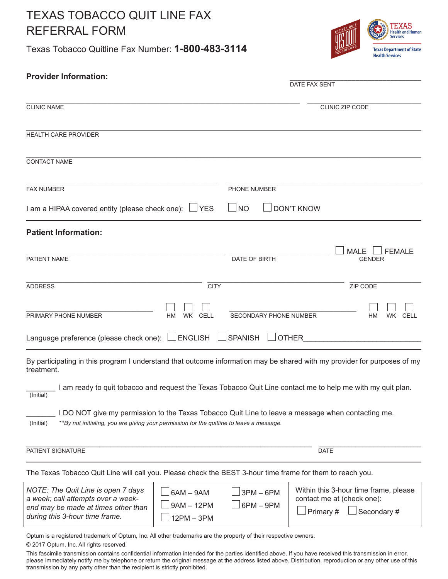## **TEXAS TOBACCO QUIT LINE FAX REFERRAL FORM**

Texas Tobacco Quitline Fax Number: 1-800-483-3114



| <b>Provider Information:</b>                                                                              |                                                                                                                          |  |  |  |
|-----------------------------------------------------------------------------------------------------------|--------------------------------------------------------------------------------------------------------------------------|--|--|--|
|                                                                                                           | DATE FAX SENT                                                                                                            |  |  |  |
| <b>CLINIC NAME</b>                                                                                        | CLINIC ZIP CODE                                                                                                          |  |  |  |
| HEALTH CARE PROVIDER                                                                                      |                                                                                                                          |  |  |  |
| <b>CONTACT NAME</b>                                                                                       |                                                                                                                          |  |  |  |
| <b>FAX NUMBER</b>                                                                                         | PHONE NUMBER                                                                                                             |  |  |  |
| I am a HIPAA covered entity (please check one): $\Box$ YES                                                | $\Box$ NO<br><b>DON'T KNOW</b>                                                                                           |  |  |  |
| <b>Patient Information:</b>                                                                               |                                                                                                                          |  |  |  |
| PATIENT NAME                                                                                              | MALE $\Box$ FEMALE<br>DATE OF BIRTH<br><b>GENDER</b>                                                                     |  |  |  |
| <b>CITY</b><br><b>ADDRESS</b>                                                                             | ZIP CODE                                                                                                                 |  |  |  |
| PRIMARY PHONE NUMBER<br>WK CELL<br>HM                                                                     | SECONDARY PHONE NUMBER<br><b>HM</b><br>WK.<br>CELL                                                                       |  |  |  |
| Language preference (please check one): □ENGLISH □SPANISH □OTHER                                          |                                                                                                                          |  |  |  |
| treatment.                                                                                                | By participating in this program I understand that outcome information may be shared with my provider for purposes of my |  |  |  |
| (Initial)                                                                                                 | I am ready to quit tobacco and request the Texas Tobacco Quit Line contact me to help me with my quit plan.              |  |  |  |
| **By not initialing, you are giving your permission for the quitline to leave a message.<br>(Initial)     | I DO NOT give my permission to the Texas Tobacco Quit Line to leave a message when contacting me.                        |  |  |  |
| PATIENT SIGNATURE                                                                                         | <b>DATE</b>                                                                                                              |  |  |  |
| The Texas Tobacco Quit Line will call you. Please check the BEST 3-hour time frame for them to reach you. |                                                                                                                          |  |  |  |

| NOTE: The Quit Line is open 7 days<br>a week; call attempts over a week-<br>end may be made at times other than<br>during this 3-hour time frame. | $6AM - 9AM$<br>$9AM - 12PM$<br>$\Box$ 12PM – 3PM | $\Box$ 3PM – 6PM<br>$\Box$ 6PM – 9PM | Within this 3-hour time frame, please<br>contact me at (check one):<br>$\Box$ Primary # $\Box$ Secondary # |
|---------------------------------------------------------------------------------------------------------------------------------------------------|--------------------------------------------------|--------------------------------------|------------------------------------------------------------------------------------------------------------|
|---------------------------------------------------------------------------------------------------------------------------------------------------|--------------------------------------------------|--------------------------------------|------------------------------------------------------------------------------------------------------------|

Optum is a registered trademark of Optum, Inc. All other trademarks are the property of their respective owners.

© 2017 Optum, Inc. All rights reserved.

This fascimile transmission contains confidential information intended for the parties identified above. If you have received this transmission in error, please immediately notify me by telephone or return the original message at the address listed above. Distribution, reproduction or any other use of this transmission by any party other than the recipient is strictly prohibited.